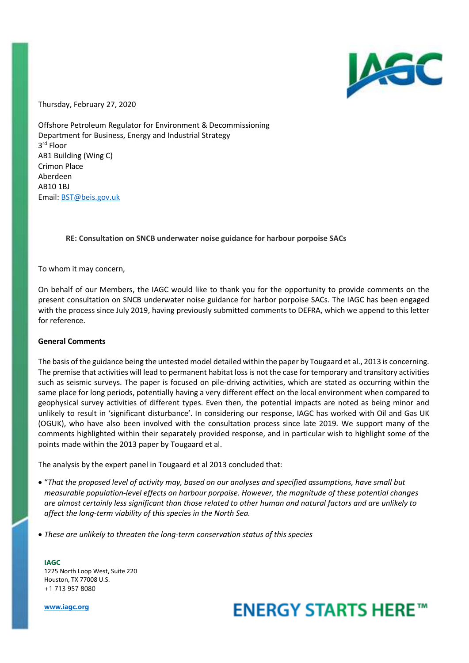

Thursday, February 27, 2020

Offshore Petroleum Regulator for Environment & Decommissioning Department for Business, Energy and Industrial Strategy 3 rd Floor AB1 Building (Wing C) Crimon Place Aberdeen AB10 1BJ Email: BST@beis.gov.uk

## **RE: Consultation on SNCB underwater noise guidance for harbour porpoise SACs**

To whom it may concern,

On behalf of our Members, the IAGC would like to thank you for the opportunity to provide comments on the present consultation on SNCB underwater noise guidance for harbor porpoise SACs. The IAGC has been engaged with the process since July 2019, having previously submitted comments to DEFRA, which we append to this letter for reference.

### **General Comments**

The basis of the guidance being the untested model detailed within the paper by Tougaard et al., 2013 is concerning. The premise that activities will lead to permanent habitat loss is not the case for temporary and transitory activities such as seismic surveys. The paper is focused on pile-driving activities, which are stated as occurring within the same place for long periods, potentially having a very different effect on the local environment when compared to geophysical survey activities of different types. Even then, the potential impacts are noted as being minor and unlikely to result in 'significant disturbance'. In considering our response, IAGC has worked with Oil and Gas UK (OGUK), who have also been involved with the consultation process since late 2019. We support many of the comments highlighted within their separately provided response, and in particular wish to highlight some of the points made within the 2013 paper by Tougaard et al.

The analysis by the expert panel in Tougaard et al 2013 concluded that:

- "*That the proposed level of activity may, based on our analyses and specified assumptions, have small but measurable population-level effects on harbour porpoise. However, the magnitude of these potential changes are almost certainly less significant than those related to other human and natural factors and are unlikely to affect the long-term viability of this species in the North Sea.*
- *These are unlikely to threaten the long-term conservation status of this species*

**IAGC**  1225 North Loop West, Suite 220 Houston, TX 77008 U.S. +1 713 957 8080

**www.iagc.org**

# **ENERGY STARTS HERE™**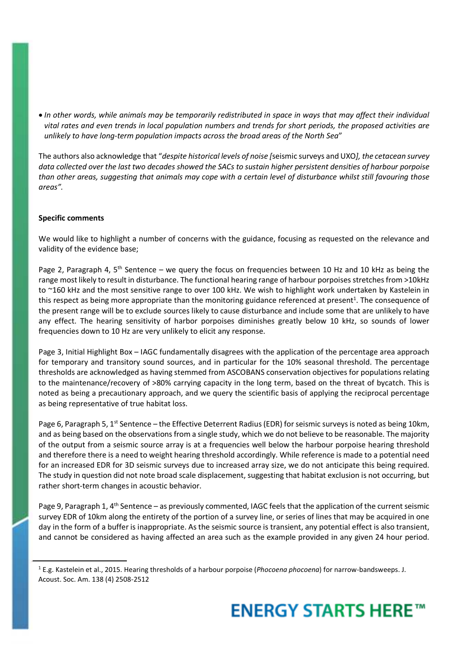*In other words, while animals may be temporarily redistributed in space in ways that may affect their individual vital rates and even trends in local population numbers and trends for short periods, the proposed activities are unlikely to have long-term population impacts across the broad areas of the North Sea*"

The authors also acknowledge that "*despite historical levels of noise [*seismic surveys and UXO*], the cetacean survey data collected over the last two decades showed the SACs to sustain higher persistent densities of harbour porpoise than other areas, suggesting that animals may cope with a certain level of disturbance whilst still favouring those areas".* 

## **Specific comments**

We would like to highlight a number of concerns with the guidance, focusing as requested on the relevance and validity of the evidence base;

Page 2, Paragraph 4, 5<sup>th</sup> Sentence – we query the focus on frequencies between 10 Hz and 10 kHz as being the range most likely to result in disturbance. The functional hearing range of harbour porpoises stretches from >10kHz to ~160 kHz and the most sensitive range to over 100 kHz. We wish to highlight work undertaken by Kastelein in this respect as being more appropriate than the monitoring guidance referenced at present<sup>1</sup>. The consequence of the present range will be to exclude sources likely to cause disturbance and include some that are unlikely to have any effect. The hearing sensitivity of harbor porpoises diminishes greatly below 10 kHz, so sounds of lower frequencies down to 10 Hz are very unlikely to elicit any response.

Page 3, Initial Highlight Box – IAGC fundamentally disagrees with the application of the percentage area approach for temporary and transitory sound sources, and in particular for the 10% seasonal threshold. The percentage thresholds are acknowledged as having stemmed from ASCOBANS conservation objectives for populations relating to the maintenance/recovery of >80% carrying capacity in the long term, based on the threat of bycatch. This is noted as being a precautionary approach, and we query the scientific basis of applying the reciprocal percentage as being representative of true habitat loss.

Page 6, Paragraph 5, 1<sup>st</sup> Sentence – the Effective Deterrent Radius (EDR) for seismic surveys is noted as being 10km, and as being based on the observations from a single study, which we do not believe to be reasonable. The majority of the output from a seismic source array is at a frequencies well below the harbour porpoise hearing threshold and therefore there is a need to weight hearing threshold accordingly. While reference is made to a potential need for an increased EDR for 3D seismic surveys due to increased array size, we do not anticipate this being required. The study in question did not note broad scale displacement, suggesting that habitat exclusion is not occurring, but rather short-term changes in acoustic behavior.

Page 9, Paragraph 1,  $4<sup>th</sup>$  Sentence – as previously commented, IAGC feels that the application of the current seismic survey EDR of 10km along the entirety of the portion of a survey line, or series of lines that may be acquired in one day in the form of a buffer is inappropriate. As the seismic source is transient, any potential effect is also transient, and cannot be considered as having affected an area such as the example provided in any given 24 hour period.

<sup>1</sup> E.g. Kastelein et al., 2015. Hearing thresholds of a harbour porpoise (*Phocoena phocoena*) for narrow-bandsweeps. J. Acoust. Soc. Am. 138 (4) 2508-2512